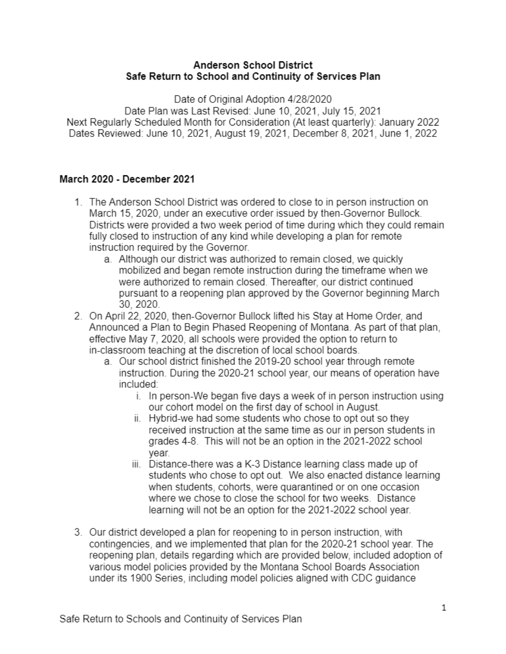## **Anderson School District** Safe Return to School and Continuity of Services Plan

Date of Original Adoption 4/28/2020

Date Plan was Last Revised: June 10, 2021, July 15, 2021 Next Regularly Scheduled Month for Consideration (At least quarterly): January 2022 Dates Reviewed: June 10, 2021, August 19, 2021, December 8, 2021, June 1, 2022

# March 2020 - December 2021

- 1. The Anderson School District was ordered to close to in person instruction on March 15, 2020, under an executive order issued by then-Governor Bullock. Districts were provided a two week period of time during which they could remain fully closed to instruction of any kind while developing a plan for remote instruction required by the Governor.
	- a. Although our district was authorized to remain closed, we quickly mobilized and began remote instruction during the timeframe when we were authorized to remain closed. Thereafter, our district continued pursuant to a reopening plan approved by the Governor beginning March 30, 2020.
- 2. On April 22, 2020, then-Governor Bullock lifted his Stay at Home Order, and Announced a Plan to Begin Phased Reopening of Montana. As part of that plan, effective May 7, 2020, all schools were provided the option to return to in-classroom teaching at the discretion of local school boards.
	- a. Our school district finished the 2019-20 school year through remote instruction. During the 2020-21 school year, our means of operation have included:
		- i. In person-We began five days a week of in person instruction using our cohort model on the first day of school in August.
		- ii. Hybrid-we had some students who chose to opt out so they received instruction at the same time as our in person students in grades 4-8. This will not be an option in the 2021-2022 school vear.
		- iii. Distance-there was a K-3 Distance learning class made up of students who chose to opt out. We also enacted distance learning when students, cohorts, were quarantined or on one occasion where we chose to close the school for two weeks. Distance learning will not be an option for the 2021-2022 school year.
- 3. Our district developed a plan for reopening to in person instruction, with contingencies, and we implemented that plan for the 2020-21 school year. The reopening plan, details regarding which are provided below, included adoption of various model policies provided by the Montana School Boards Association under its 1900 Series, including model policies aligned with CDC guidance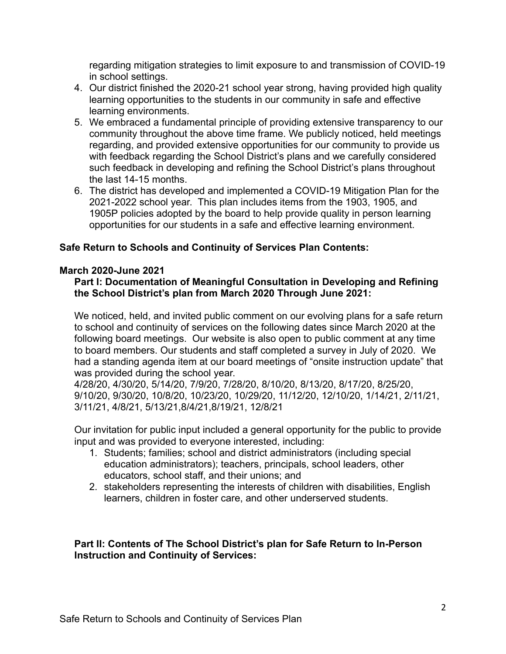regarding mitigation strategies to limit exposure to and transmission of COVID-19 in school settings.

- 4. Our district finished the 2020-21 school year strong, having provided high quality learning opportunities to the students in our community in safe and effective learning environments.
- 5. We embraced a fundamental principle of providing extensive transparency to our community throughout the above time frame. We publicly noticed, held meetings regarding, and provided extensive opportunities for our community to provide us with feedback regarding the School District's plans and we carefully considered such feedback in developing and refining the School District's plans throughout the last 14-15 months.
- 6. The district has developed and implemented a COVID-19 Mitigation Plan for the 2021-2022 school year. This plan includes items from the 1903, 1905, and 1905P policies adopted by the board to help provide quality in person learning opportunities for our students in a safe and effective learning environment.

## **Safe Return to Schools and Continuity of Services Plan Contents:**

#### **March 2020-June 2021**

### **Part I: Documentation of Meaningful Consultation in Developing and Refining the School District's plan from March 2020 Through June 2021:**

We noticed, held, and invited public comment on our evolving plans for a safe return to school and continuity of services on the following dates since March 2020 at the following board meetings. Our website is also open to public comment at any time to board members. Our students and staff completed a survey in July of 2020. We had a standing agenda item at our board meetings of "onsite instruction update" that was provided during the school year.

4/28/20, 4/30/20, 5/14/20, 7/9/20, 7/28/20, 8/10/20, 8/13/20, 8/17/20, 8/25/20, 9/10/20, 9/30/20, 10/8/20, 10/23/20, 10/29/20, 11/12/20, 12/10/20, 1/14/21, 2/11/21, 3/11/21, 4/8/21, 5/13/21,8/4/21,8/19/21, 12/8/21

Our invitation for public input included a general opportunity for the public to provide input and was provided to everyone interested, including:

- 1. Students; families; school and district administrators (including special education administrators); teachers, principals, school leaders, other educators, school staff, and their unions; and
- 2. stakeholders representing the interests of children with disabilities, English learners, children in foster care, and other underserved students.

## **Part II: Contents of The School District's plan for Safe Return to In-Person Instruction and Continuity of Services:**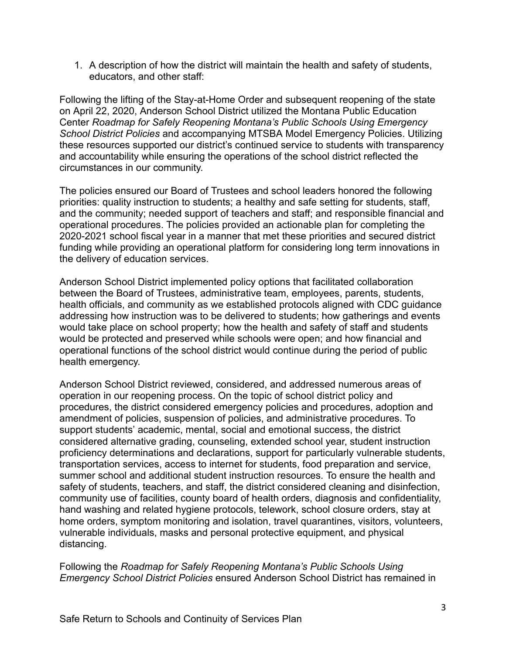1. A description of how the district will maintain the health and safety of students, educators, and other staff:

Following the lifting of the Stay-at-Home Order and subsequent reopening of the state on April 22, 2020, Anderson School District utilized the Montana Public Education Center *Roadmap for Safely Reopening Montana's Public Schools Using Emergency School District Policies* and accompanying MTSBA Model Emergency Policies. Utilizing these resources supported our district's continued service to students with transparency and accountability while ensuring the operations of the school district reflected the circumstances in our community.

The policies ensured our Board of Trustees and school leaders honored the following priorities: quality instruction to students; a healthy and safe setting for students, staff, and the community; needed support of teachers and staff; and responsible financial and operational procedures. The policies provided an actionable plan for completing the 2020-2021 school fiscal year in a manner that met these priorities and secured district funding while providing an operational platform for considering long term innovations in the delivery of education services.

Anderson School District implemented policy options that facilitated collaboration between the Board of Trustees, administrative team, employees, parents, students, health officials, and community as we established protocols aligned with CDC guidance addressing how instruction was to be delivered to students; how gatherings and events would take place on school property; how the health and safety of staff and students would be protected and preserved while schools were open; and how financial and operational functions of the school district would continue during the period of public health emergency.

Anderson School District reviewed, considered, and addressed numerous areas of operation in our reopening process. On the topic of school district policy and procedures, the district considered emergency policies and procedures, adoption and amendment of policies, suspension of policies, and administrative procedures. To support students' academic, mental, social and emotional success, the district considered alternative grading, counseling, extended school year, student instruction proficiency determinations and declarations, support for particularly vulnerable students, transportation services, access to internet for students, food preparation and service, summer school and additional student instruction resources. To ensure the health and safety of students, teachers, and staff, the district considered cleaning and disinfection, community use of facilities, county board of health orders, diagnosis and confidentiality, hand washing and related hygiene protocols, telework, school closure orders, stay at home orders, symptom monitoring and isolation, travel quarantines, visitors, volunteers, vulnerable individuals, masks and personal protective equipment, and physical distancing.

Following the *Roadmap for Safely Reopening Montana's Public Schools Using Emergency School District Policies* ensured Anderson School District has remained in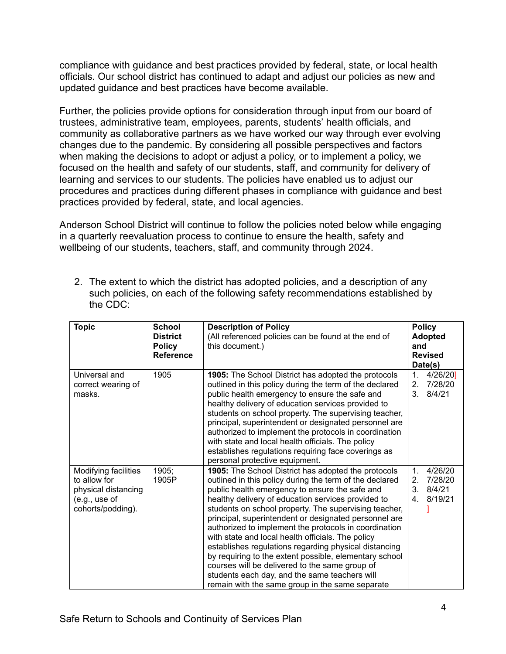compliance with guidance and best practices provided by federal, state, or local health officials. Our school district has continued to adapt and adjust our policies as new and updated guidance and best practices have become available.

Further, the policies provide options for consideration through input from our board of trustees, administrative team, employees, parents, students' health officials, and community as collaborative partners as we have worked our way through ever evolving changes due to the pandemic. By considering all possible perspectives and factors when making the decisions to adopt or adjust a policy, or to implement a policy, we focused on the health and safety of our students, staff, and community for delivery of learning and services to our students. The policies have enabled us to adjust our procedures and practices during different phases in compliance with guidance and best practices provided by federal, state, and local agencies.

Anderson School District will continue to follow the policies noted below while engaging in a quarterly reevaluation process to continue to ensure the health, safety and wellbeing of our students, teachers, staff, and community through 2024.

2. The extent to which the district has adopted policies, and a description of any such policies, on each of the following safety recommendations established by the CDC:

| <b>Topic</b>                                                                                      | <b>School</b><br><b>District</b><br><b>Policy</b><br><b>Reference</b> | <b>Description of Policy</b><br>(All referenced policies can be found at the end of<br>this document.)                                                                                                                                                                                                                                                                                                                                                                                                                                                                                                                                                                                                                          | <b>Policy</b><br><b>Adopted</b><br>and<br><b>Revised</b><br>Date(s)         |
|---------------------------------------------------------------------------------------------------|-----------------------------------------------------------------------|---------------------------------------------------------------------------------------------------------------------------------------------------------------------------------------------------------------------------------------------------------------------------------------------------------------------------------------------------------------------------------------------------------------------------------------------------------------------------------------------------------------------------------------------------------------------------------------------------------------------------------------------------------------------------------------------------------------------------------|-----------------------------------------------------------------------------|
| Universal and<br>correct wearing of<br>masks.                                                     | 1905                                                                  | 1905: The School District has adopted the protocols<br>outlined in this policy during the term of the declared<br>public health emergency to ensure the safe and<br>healthy delivery of education services provided to<br>students on school property. The supervising teacher,<br>principal, superintendent or designated personnel are<br>authorized to implement the protocols in coordination<br>with state and local health officials. The policy<br>establishes regulations requiring face coverings as<br>personal protective equipment.                                                                                                                                                                                 | 4/26/20]<br>1.<br>7/28/20<br>2.<br>3 <sub>1</sub><br>8/4/21                 |
| Modifying facilities<br>to allow for<br>physical distancing<br>(e.g., use of<br>cohorts/podding). | 1905;<br>1905P                                                        | 1905: The School District has adopted the protocols<br>outlined in this policy during the term of the declared<br>public health emergency to ensure the safe and<br>healthy delivery of education services provided to<br>students on school property. The supervising teacher,<br>principal, superintendent or designated personnel are<br>authorized to implement the protocols in coordination<br>with state and local health officials. The policy<br>establishes regulations regarding physical distancing<br>by requiring to the extent possible, elementary school<br>courses will be delivered to the same group of<br>students each day, and the same teachers will<br>remain with the same group in the same separate | 1.<br>4/26/20<br>7/28/20<br>2.<br>3.<br>8/4/21<br>8/19/21<br>4 <sup>1</sup> |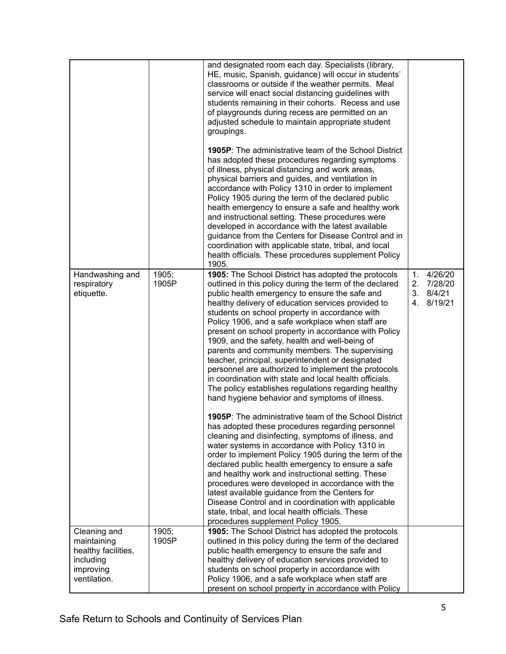|                                                                              |                | and designated room each day. Specialists (library,<br>HE, music, Spanish, guidance) will occur in students'<br>classrooms or outside if the weather permits. Meal<br>service will enact social distancing guidelines with<br>students remaining in their cohorts. Recess and use<br>of playgrounds during recess are permitted on an<br>adjusted schedule to maintain appropriate student<br>groupings.<br><b>1905P:</b> The administrative team of the School District<br>has adopted these procedures regarding symptoms<br>of illness, physical distancing and work areas,<br>physical barriers and guides, and ventilation in<br>accordance with Policy 1310 in order to implement<br>Policy 1905 during the term of the declared public<br>health emergency to ensure a safe and healthy work<br>and instructional setting. These procedures were<br>developed in accordance with the latest available<br>guidance from the Centers for Disease Control and in<br>coordination with applicable state, tribal, and local<br>health officials. These procedures supplement Policy<br>1905.                                                                                                                                                                                                                                                                                            |                   |                                              |
|------------------------------------------------------------------------------|----------------|-------------------------------------------------------------------------------------------------------------------------------------------------------------------------------------------------------------------------------------------------------------------------------------------------------------------------------------------------------------------------------------------------------------------------------------------------------------------------------------------------------------------------------------------------------------------------------------------------------------------------------------------------------------------------------------------------------------------------------------------------------------------------------------------------------------------------------------------------------------------------------------------------------------------------------------------------------------------------------------------------------------------------------------------------------------------------------------------------------------------------------------------------------------------------------------------------------------------------------------------------------------------------------------------------------------------------------------------------------------------------------------------|-------------------|----------------------------------------------|
| Handwashing and<br>respiratory<br>etiquette.                                 | 1905;<br>1905P | 1905: The School District has adopted the protocols<br>outlined in this policy during the term of the declared<br>public health emergency to ensure the safe and<br>healthy delivery of education services provided to<br>students on school property in accordance with<br>Policy 1906, and a safe workplace when staff are<br>present on school property in accordance with Policy<br>1909, and the safety, health and well-being of<br>parents and community members. The supervising<br>teacher, principal, superintendent or designated<br>personnel are authorized to implement the protocols<br>in coordination with state and local health officials.<br>The policy establishes regulations regarding healthy<br>hand hygiene behavior and symptoms of illness.<br><b>1905P:</b> The administrative team of the School District<br>has adopted these procedures regarding personnel<br>cleaning and disinfecting, symptoms of illness, and<br>water systems in accordance with Policy 1310 in<br>order to implement Policy 1905 during the term of the<br>declared public health emergency to ensure a safe<br>and healthy work and instructional setting. These<br>procedures were developed in accordance with the<br>latest available guidance from the Centers for<br>Disease Control and in coordination with applicable<br>state, tribal, and local health officials. These | $1_{\cdot}$<br>2. | 4/26/20<br>7/28/20<br>3.8/4/21<br>4. 8/19/21 |
| Cleaning and                                                                 | 1905;          | procedures supplement Policy 1905.<br>1905: The School District has adopted the protocols                                                                                                                                                                                                                                                                                                                                                                                                                                                                                                                                                                                                                                                                                                                                                                                                                                                                                                                                                                                                                                                                                                                                                                                                                                                                                                 |                   |                                              |
| maintaining<br>healthy facilities,<br>including<br>improving<br>ventilation. | 1905P          | outlined in this policy during the term of the declared<br>public health emergency to ensure the safe and<br>healthy delivery of education services provided to<br>students on school property in accordance with<br>Policy 1906, and a safe workplace when staff are<br>present on school property in accordance with Policy                                                                                                                                                                                                                                                                                                                                                                                                                                                                                                                                                                                                                                                                                                                                                                                                                                                                                                                                                                                                                                                             |                   |                                              |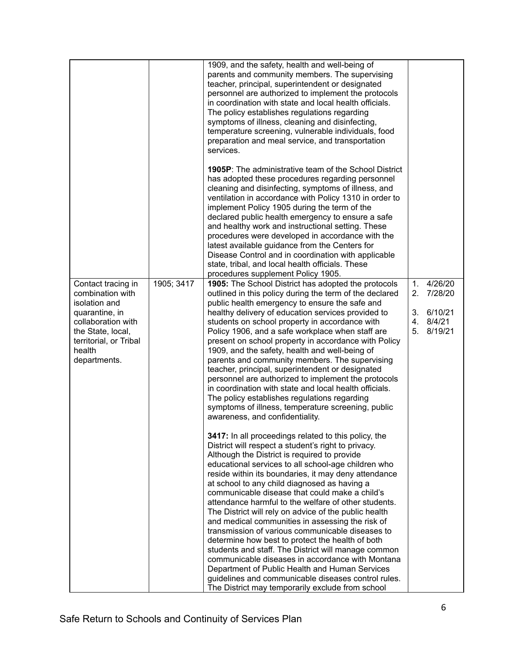|                                                                                                                                                                          |            | 1909, and the safety, health and well-being of<br>parents and community members. The supervising<br>teacher, principal, superintendent or designated<br>personnel are authorized to implement the protocols<br>in coordination with state and local health officials.<br>The policy establishes regulations regarding<br>symptoms of illness, cleaning and disinfecting,<br>temperature screening, vulnerable individuals, food<br>preparation and meal service, and transportation<br>services.                                                                                                                                                                                                                                                                                                                                                                          |                                                                                  |
|--------------------------------------------------------------------------------------------------------------------------------------------------------------------------|------------|---------------------------------------------------------------------------------------------------------------------------------------------------------------------------------------------------------------------------------------------------------------------------------------------------------------------------------------------------------------------------------------------------------------------------------------------------------------------------------------------------------------------------------------------------------------------------------------------------------------------------------------------------------------------------------------------------------------------------------------------------------------------------------------------------------------------------------------------------------------------------|----------------------------------------------------------------------------------|
|                                                                                                                                                                          |            | <b>1905P:</b> The administrative team of the School District<br>has adopted these procedures regarding personnel<br>cleaning and disinfecting, symptoms of illness, and<br>ventilation in accordance with Policy 1310 in order to<br>implement Policy 1905 during the term of the<br>declared public health emergency to ensure a safe<br>and healthy work and instructional setting. These<br>procedures were developed in accordance with the<br>latest available guidance from the Centers for<br>Disease Control and in coordination with applicable<br>state, tribal, and local health officials. These<br>procedures supplement Policy 1905.                                                                                                                                                                                                                        |                                                                                  |
| Contact tracing in<br>combination with<br>isolation and<br>quarantine, in<br>collaboration with<br>the State, local,<br>territorial, or Tribal<br>health<br>departments. | 1905; 3417 | 1905: The School District has adopted the protocols<br>outlined in this policy during the term of the declared<br>public health emergency to ensure the safe and<br>healthy delivery of education services provided to<br>students on school property in accordance with<br>Policy 1906, and a safe workplace when staff are<br>present on school property in accordance with Policy<br>1909, and the safety, health and well-being of<br>parents and community members. The supervising<br>teacher, principal, superintendent or designated<br>personnel are authorized to implement the protocols<br>in coordination with state and local health officials.<br>The policy establishes regulations regarding<br>symptoms of illness, temperature screening, public<br>awareness, and confidentiality.<br>3417: In all proceedings related to this policy, the            | 4/26/20<br>1.<br>2.<br>7/28/20<br>3.<br>6/10/21<br>8/4/21<br>4.<br>8/19/21<br>5. |
|                                                                                                                                                                          |            | District will respect a student's right to privacy.<br>Although the District is required to provide<br>educational services to all school-age children who<br>reside within its boundaries, it may deny attendance<br>at school to any child diagnosed as having a<br>communicable disease that could make a child's<br>attendance harmful to the welfare of other students.<br>The District will rely on advice of the public health<br>and medical communities in assessing the risk of<br>transmission of various communicable diseases to<br>determine how best to protect the health of both<br>students and staff. The District will manage common<br>communicable diseases in accordance with Montana<br>Department of Public Health and Human Services<br>guidelines and communicable diseases control rules.<br>The District may temporarily exclude from school |                                                                                  |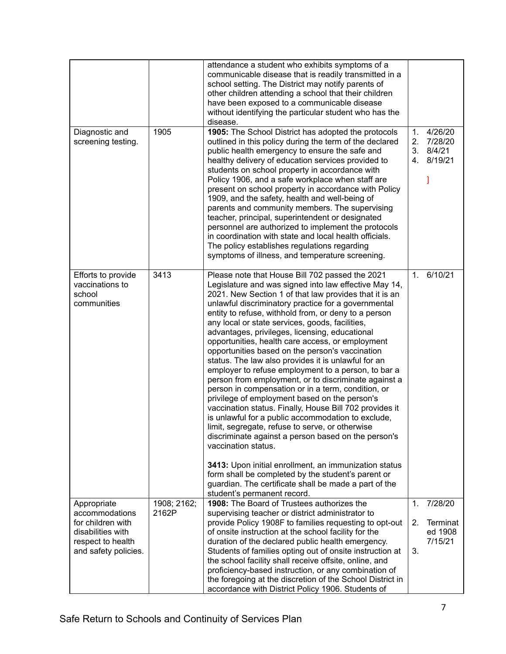| Diagnostic and<br>screening testing.                           | 1905                 | attendance a student who exhibits symptoms of a<br>communicable disease that is readily transmitted in a<br>school setting. The District may notify parents of<br>other children attending a school that their children<br>have been exposed to a communicable disease<br>without identifying the particular student who has the<br>disease.<br>1905: The School District has adopted the protocols<br>outlined in this policy during the term of the declared<br>public health emergency to ensure the safe and<br>healthy delivery of education services provided to<br>students on school property in accordance with<br>Policy 1906, and a safe workplace when staff are<br>present on school property in accordance with Policy<br>1909, and the safety, health and well-being of<br>parents and community members. The supervising<br>teacher, principal, superintendent or designated<br>personnel are authorized to implement the protocols<br>in coordination with state and local health officials.<br>The policy establishes regulations regarding<br>symptoms of illness, and temperature screening.                                                                                                                    | 1.<br>2.<br>3.<br>4. | 4/26/20<br>7/28/20<br>8/4/21<br>8/19/21 |
|----------------------------------------------------------------|----------------------|-------------------------------------------------------------------------------------------------------------------------------------------------------------------------------------------------------------------------------------------------------------------------------------------------------------------------------------------------------------------------------------------------------------------------------------------------------------------------------------------------------------------------------------------------------------------------------------------------------------------------------------------------------------------------------------------------------------------------------------------------------------------------------------------------------------------------------------------------------------------------------------------------------------------------------------------------------------------------------------------------------------------------------------------------------------------------------------------------------------------------------------------------------------------------------------------------------------------------------------|----------------------|-----------------------------------------|
| Efforts to provide<br>vaccinations to<br>school<br>communities | 3413                 | Please note that House Bill 702 passed the 2021<br>Legislature and was signed into law effective May 14,<br>2021. New Section 1 of that law provides that it is an<br>unlawful discriminatory practice for a governmental<br>entity to refuse, withhold from, or deny to a person<br>any local or state services, goods, facilities,<br>advantages, privileges, licensing, educational<br>opportunities, health care access, or employment<br>opportunities based on the person's vaccination<br>status. The law also provides it is unlawful for an<br>employer to refuse employment to a person, to bar a<br>person from employment, or to discriminate against a<br>person in compensation or in a term, condition, or<br>privilege of employment based on the person's<br>vaccination status. Finally, House Bill 702 provides it<br>is unlawful for a public accommodation to exclude,<br>limit, segregate, refuse to serve, or otherwise<br>discriminate against a person based on the person's<br>vaccination status.<br>3413: Upon initial enrollment, an immunization status<br>form shall be completed by the student's parent or<br>guardian. The certificate shall be made a part of the<br>student's permanent record. | $\mathbf{1}$ .       | 6/10/21                                 |
| Appropriate<br>accommodations                                  | 1908; 2162;<br>2162P | 1908: The Board of Trustees authorizes the<br>supervising teacher or district administrator to                                                                                                                                                                                                                                                                                                                                                                                                                                                                                                                                                                                                                                                                                                                                                                                                                                                                                                                                                                                                                                                                                                                                      | 1.                   | 7/28/20                                 |
| for children with<br>disabilities with                         |                      | provide Policy 1908F to families requesting to opt-out<br>of onsite instruction at the school facility for the                                                                                                                                                                                                                                                                                                                                                                                                                                                                                                                                                                                                                                                                                                                                                                                                                                                                                                                                                                                                                                                                                                                      | 2.                   | Terminat<br>ed 1908                     |
| respect to health<br>and safety policies.                      |                      | duration of the declared public health emergency.<br>Students of families opting out of onsite instruction at                                                                                                                                                                                                                                                                                                                                                                                                                                                                                                                                                                                                                                                                                                                                                                                                                                                                                                                                                                                                                                                                                                                       | 3.                   | 7/15/21                                 |
|                                                                |                      | the school facility shall receive offsite, online, and<br>proficiency-based instruction, or any combination of<br>the foregoing at the discretion of the School District in<br>accordance with District Policy 1906. Students of                                                                                                                                                                                                                                                                                                                                                                                                                                                                                                                                                                                                                                                                                                                                                                                                                                                                                                                                                                                                    |                      |                                         |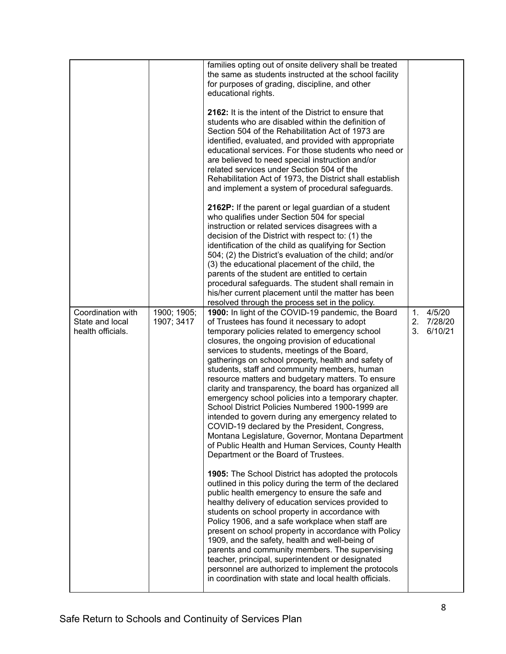| Coordination with<br>State and local<br>health officials. | 1900; 1905;<br>1907; 3417 | families opting out of onsite delivery shall be treated<br>the same as students instructed at the school facility<br>for purposes of grading, discipline, and other<br>educational rights.<br>2162: It is the intent of the District to ensure that<br>students who are disabled within the definition of<br>Section 504 of the Rehabilitation Act of 1973 are<br>identified, evaluated, and provided with appropriate<br>educational services. For those students who need or<br>are believed to need special instruction and/or<br>related services under Section 504 of the<br>Rehabilitation Act of 1973, the District shall establish<br>and implement a system of procedural safeguards.<br>2162P: If the parent or legal guardian of a student<br>who qualifies under Section 504 for special<br>instruction or related services disagrees with a<br>decision of the District with respect to: (1) the<br>identification of the child as qualifying for Section<br>504; (2) the District's evaluation of the child; and/or<br>(3) the educational placement of the child, the<br>parents of the student are entitled to certain<br>procedural safeguards. The student shall remain in<br>his/her current placement until the matter has been<br>resolved through the process set in the policy.<br>1900: In light of the COVID-19 pandemic, the Board<br>of Trustees has found it necessary to adopt<br>temporary policies related to emergency school<br>closures, the ongoing provision of educational<br>services to students, meetings of the Board,<br>gatherings on school property, health and safety of<br>students, staff and community members, human<br>resource matters and budgetary matters. To ensure<br>clarity and transparency, the board has organized all<br>emergency school policies into a temporary chapter.<br>School District Policies Numbered 1900-1999 are | 1.<br>2 <sub>1</sub><br>$3_{-}$ | 4/5/20<br>7/28/20<br>6/10/21 |
|-----------------------------------------------------------|---------------------------|------------------------------------------------------------------------------------------------------------------------------------------------------------------------------------------------------------------------------------------------------------------------------------------------------------------------------------------------------------------------------------------------------------------------------------------------------------------------------------------------------------------------------------------------------------------------------------------------------------------------------------------------------------------------------------------------------------------------------------------------------------------------------------------------------------------------------------------------------------------------------------------------------------------------------------------------------------------------------------------------------------------------------------------------------------------------------------------------------------------------------------------------------------------------------------------------------------------------------------------------------------------------------------------------------------------------------------------------------------------------------------------------------------------------------------------------------------------------------------------------------------------------------------------------------------------------------------------------------------------------------------------------------------------------------------------------------------------------------------------------------------------------------------------------------------------------------------------------------------------------------------------------|---------------------------------|------------------------------|
|                                                           |                           | intended to govern during any emergency related to<br>COVID-19 declared by the President, Congress<br>Montana Legislature, Governor, Montana Department<br>of Public Health and Human Services, County Health<br>Department or the Board of Trustees.                                                                                                                                                                                                                                                                                                                                                                                                                                                                                                                                                                                                                                                                                                                                                                                                                                                                                                                                                                                                                                                                                                                                                                                                                                                                                                                                                                                                                                                                                                                                                                                                                                          |                                 |                              |
|                                                           |                           | <b>1905:</b> The School District has adopted the protocols<br>outlined in this policy during the term of the declared<br>public health emergency to ensure the safe and<br>healthy delivery of education services provided to<br>students on school property in accordance with<br>Policy 1906, and a safe workplace when staff are<br>present on school property in accordance with Policy<br>1909, and the safety, health and well-being of<br>parents and community members. The supervising<br>teacher, principal, superintendent or designated                                                                                                                                                                                                                                                                                                                                                                                                                                                                                                                                                                                                                                                                                                                                                                                                                                                                                                                                                                                                                                                                                                                                                                                                                                                                                                                                            |                                 |                              |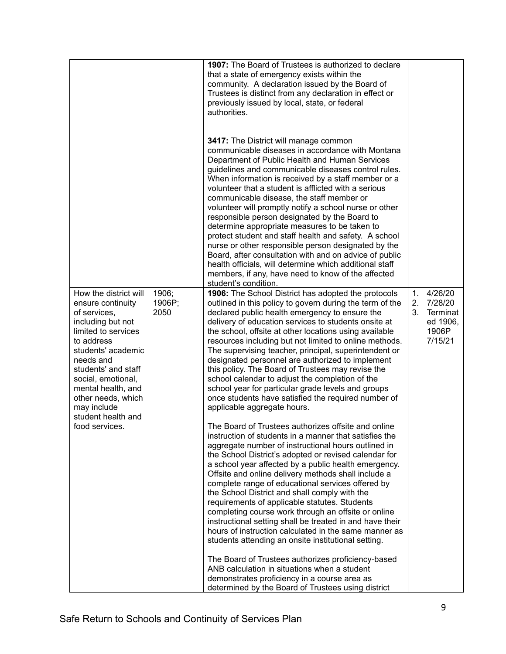| student's condition.<br>How the district will<br>1906;<br>1906: The School District has adopted the protocols<br>1.<br>1906P;<br>outlined in this policy to govern during the term of the<br>2.<br>ensure continuity<br>2050<br>3.<br>of services,<br>declared public health emergency to ensure the<br>including but not<br>delivery of education services to students onsite at<br>limited to services<br>the school, offsite at other locations using available<br>1906P<br>to address<br>resources including but not limited to online methods.<br>students' academic<br>The supervising teacher, principal, superintendent or<br>needs and<br>designated personnel are authorized to implement<br>students' and staff<br>this policy. The Board of Trustees may revise the<br>school calendar to adjust the completion of the<br>social, emotional,<br>mental health, and<br>school year for particular grade levels and groups<br>once students have satisfied the required number of<br>other needs, which<br>may include<br>applicable aggregate hours.<br>student health and<br>The Board of Trustees authorizes offsite and online<br>food services.<br>instruction of students in a manner that satisfies the<br>aggregate number of instructional hours outlined in<br>the School District's adopted or revised calendar for<br>a school year affected by a public health emergency.<br>Offsite and online delivery methods shall include a<br>complete range of educational services offered by<br>the School District and shall comply with the<br>requirements of applicable statutes. Students<br>completing course work through an offsite or online<br>instructional setting shall be treated in and have their<br>hours of instruction calculated in the same manner as<br>students attending an onsite institutional setting. |  | 1907: The Board of Trustees is authorized to declare<br>that a state of emergency exists within the<br>community. A declaration issued by the Board of<br>Trustees is distinct from any declaration in effect or<br>previously issued by local, state, or federal<br>authorities.<br>3417: The District will manage common<br>communicable diseases in accordance with Montana<br>Department of Public Health and Human Services<br>guidelines and communicable diseases control rules.<br>When information is received by a staff member or a<br>volunteer that a student is afflicted with a serious<br>communicable disease, the staff member or<br>volunteer will promptly notify a school nurse or other<br>responsible person designated by the Board to<br>determine appropriate measures to be taken to<br>protect student and staff health and safety. A school<br>nurse or other responsible person designated by the<br>Board, after consultation with and on advice of public<br>health officials, will determine which additional staff<br>members, if any, have need to know of the affected |                                                       |
|---------------------------------------------------------------------------------------------------------------------------------------------------------------------------------------------------------------------------------------------------------------------------------------------------------------------------------------------------------------------------------------------------------------------------------------------------------------------------------------------------------------------------------------------------------------------------------------------------------------------------------------------------------------------------------------------------------------------------------------------------------------------------------------------------------------------------------------------------------------------------------------------------------------------------------------------------------------------------------------------------------------------------------------------------------------------------------------------------------------------------------------------------------------------------------------------------------------------------------------------------------------------------------------------------------------------------------------------------------------------------------------------------------------------------------------------------------------------------------------------------------------------------------------------------------------------------------------------------------------------------------------------------------------------------------------------------------------------------------------------------------------------------------------------------------------------------------------------------|--|------------------------------------------------------------------------------------------------------------------------------------------------------------------------------------------------------------------------------------------------------------------------------------------------------------------------------------------------------------------------------------------------------------------------------------------------------------------------------------------------------------------------------------------------------------------------------------------------------------------------------------------------------------------------------------------------------------------------------------------------------------------------------------------------------------------------------------------------------------------------------------------------------------------------------------------------------------------------------------------------------------------------------------------------------------------------------------------------------------|-------------------------------------------------------|
| The Board of Trustees authorizes proficiency-based<br>ANB calculation in situations when a student<br>demonstrates proficiency in a course area as                                                                                                                                                                                                                                                                                                                                                                                                                                                                                                                                                                                                                                                                                                                                                                                                                                                                                                                                                                                                                                                                                                                                                                                                                                                                                                                                                                                                                                                                                                                                                                                                                                                                                                |  |                                                                                                                                                                                                                                                                                                                                                                                                                                                                                                                                                                                                                                                                                                                                                                                                                                                                                                                                                                                                                                                                                                            | 4/26/20<br>7/28/20<br>Terminat<br>ed 1906,<br>7/15/21 |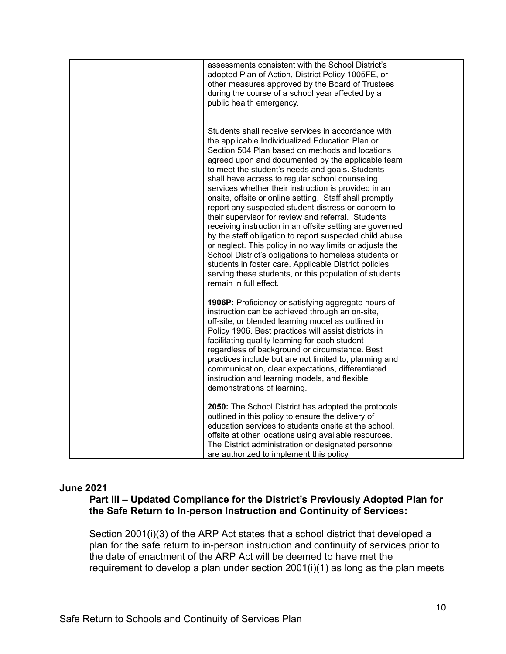| assessments consistent with the School District's<br>adopted Plan of Action, District Policy 1005FE, or<br>other measures approved by the Board of Trustees<br>during the course of a school year affected by a<br>public health emergency.                                                                                                                                                                                                                                                                                                                                                                                                                                                                                                                                                                                                                                                                                                |  |
|--------------------------------------------------------------------------------------------------------------------------------------------------------------------------------------------------------------------------------------------------------------------------------------------------------------------------------------------------------------------------------------------------------------------------------------------------------------------------------------------------------------------------------------------------------------------------------------------------------------------------------------------------------------------------------------------------------------------------------------------------------------------------------------------------------------------------------------------------------------------------------------------------------------------------------------------|--|
| Students shall receive services in accordance with<br>the applicable Individualized Education Plan or<br>Section 504 Plan based on methods and locations<br>agreed upon and documented by the applicable team<br>to meet the student's needs and goals. Students<br>shall have access to regular school counseling<br>services whether their instruction is provided in an<br>onsite, offsite or online setting. Staff shall promptly<br>report any suspected student distress or concern to<br>their supervisor for review and referral. Students<br>receiving instruction in an offsite setting are governed<br>by the staff obligation to report suspected child abuse<br>or neglect. This policy in no way limits or adjusts the<br>School District's obligations to homeless students or<br>students in foster care. Applicable District policies<br>serving these students, or this population of students<br>remain in full effect. |  |
| <b>1906P:</b> Proficiency or satisfying aggregate hours of<br>instruction can be achieved through an on-site,<br>off-site, or blended learning model as outlined in<br>Policy 1906. Best practices will assist districts in<br>facilitating quality learning for each student<br>regardless of background or circumstance. Best<br>practices include but are not limited to, planning and<br>communication, clear expectations, differentiated<br>instruction and learning models, and flexible<br>demonstrations of learning.                                                                                                                                                                                                                                                                                                                                                                                                             |  |
| 2050: The School District has adopted the protocols<br>outlined in this policy to ensure the delivery of<br>education services to students onsite at the school,<br>offsite at other locations using available resources.<br>The District administration or designated personnel<br>are authorized to implement this policy                                                                                                                                                                                                                                                                                                                                                                                                                                                                                                                                                                                                                |  |

## **June 2021**

# **Part III – Updated Compliance for the District's Previously Adopted Plan for the Safe Return to In-person Instruction and Continuity of Services:**

Section 2001(i)(3) of the ARP Act states that a school district that developed a plan for the safe return to in-person instruction and continuity of services prior to the date of enactment of the ARP Act will be deemed to have met the requirement to develop a plan under section 2001(i)(1) as long as the plan meets